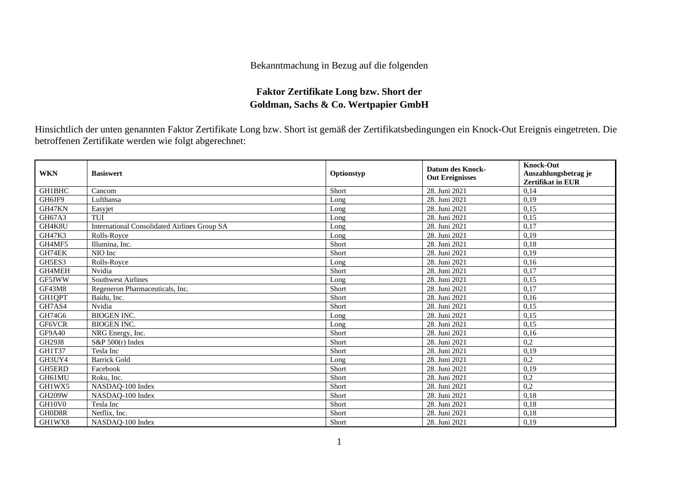## Bekanntmachung in Bezug auf die folgenden

## **Faktor Zertifikate Long bzw. Short der Goldman, Sachs & Co. Wertpapier GmbH**

Hinsichtlich der unten genannten Faktor Zertifikate Long bzw. Short ist gemäß der Zertifikatsbedingungen ein Knock-Out Ereignis eingetreten. Die betroffenen Zertifikate werden wie folgt abgerechnet:

| <b>WKN</b>    | <b>Basiswert</b>                                    | Optionstyp | <b>Datum des Knock-</b><br><b>Out Ereignisses</b> | <b>Knock-Out</b><br>Auszahlungsbetrag je<br><b>Zertifikat in EUR</b> |
|---------------|-----------------------------------------------------|------------|---------------------------------------------------|----------------------------------------------------------------------|
| GH1BHC        | Cancom                                              | Short      | 28. Juni 2021                                     | 0,14                                                                 |
| GH6JF9        | Lufthansa                                           | Long       | 28. Juni 2021                                     | 0,19                                                                 |
| GH47KN        | Easyjet                                             | Long       | 28. Juni 2021                                     | 0,15                                                                 |
| GH67A3        | TUI                                                 | Long       | 28. Juni 2021                                     | 0,15                                                                 |
| GH4K8U        | <b>International Consolidated Airlines Group SA</b> | Long       | 28. Juni 2021                                     | 0,17                                                                 |
| <b>GH47K3</b> | Rolls-Royce                                         | Long       | 28. Juni 2021                                     | 0,19                                                                 |
| GH4MF5        | Illumina, Inc.                                      | Short      | 28. Juni 2021                                     | 0,18                                                                 |
| GH74EK        | NIO Inc                                             | Short      | 28. Juni 2021                                     | 0,19                                                                 |
| GH5ES3        | Rolls-Royce                                         | Long       | 28. Juni 2021                                     | 0,16                                                                 |
| GH4MEH        | Nvidia                                              | Short      | 28. Juni 2021                                     | 0,17                                                                 |
| GF5JWW        | <b>Southwest Airlines</b>                           | Long       | 28. Juni 2021                                     | 0,15                                                                 |
| <b>GF43M8</b> | Regeneron Pharmaceuticals, Inc.                     | Short      | 28. Juni 2021                                     | 0,17                                                                 |
| GH1QPT        | Baidu, Inc.                                         | Short      | 28. Juni 2021                                     | 0,16                                                                 |
| GH7AS4        | Nvidia                                              | Short      | 28. Juni 2021                                     | 0,15                                                                 |
| GH74G6        | <b>BIOGEN INC.</b>                                  | Long       | 28. Juni 2021                                     | 0,15                                                                 |
| GF6VCR        | <b>BIOGEN INC.</b>                                  | Long       | 28. Juni 2021                                     | 0,15                                                                 |
| <b>GF9A40</b> | NRG Energy, Inc.                                    | Short      | 28. Juni 2021                                     | 0,16                                                                 |
| GH29J8        | S&P 500(r) Index                                    | Short      | 28. Juni 2021                                     | 0,2                                                                  |
| GH1T37        | Tesla Inc                                           | Short      | 28. Juni 2021                                     | 0,19                                                                 |
| GH3UY4        | <b>Barrick Gold</b>                                 | Long       | 28. Juni 2021                                     | 0,2                                                                  |
| GH5ERD        | Facebook                                            | Short      | 28. Juni 2021                                     | 0,19                                                                 |
| GH61MU        | Roku, Inc.                                          | Short      | 28. Juni 2021                                     | 0,2                                                                  |
| GH1WX5        | NASDAQ-100 Index                                    | Short      | 28. Juni 2021                                     | 0,2                                                                  |
| <b>GH209W</b> | NASDAQ-100 Index                                    | Short      | 28. Juni 2021                                     | 0,18                                                                 |
| GH10V0        | Tesla Inc                                           | Short      | 28. Juni 2021                                     | 0,18                                                                 |
| GH0D8R        | Netflix. Inc.                                       | Short      | 28. Juni 2021                                     | 0,18                                                                 |
| GH1WX8        | NASDAQ-100 Index                                    | Short      | 28. Juni 2021                                     | 0,19                                                                 |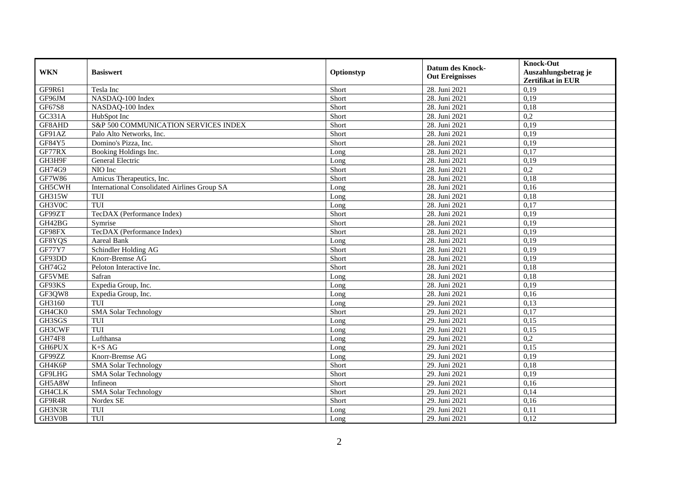| <b>WKN</b>    | <b>Basiswert</b>                                    | Optionstyp |                         | <b>Knock-Out</b>         |
|---------------|-----------------------------------------------------|------------|-------------------------|--------------------------|
|               |                                                     |            | <b>Datum des Knock-</b> | Auszahlungsbetrag je     |
|               |                                                     |            | <b>Out Ereignisses</b>  | <b>Zertifikat in EUR</b> |
| GF9R61        | Tesla Inc                                           | Short      | 28. Juni 2021           | 0,19                     |
| GF96JM        | NASDAQ-100 Index                                    | Short      | 28. Juni 2021           | 0,19                     |
| GF67S8        | NASDAQ-100 Index                                    | Short      | 28. Juni 2021           | 0,18                     |
| GC331A        | HubSpot Inc                                         | Short      | 28. Juni 2021           | 0,2                      |
| GF8AHD        | S&P 500 COMMUNICATION SERVICES INDEX                | Short      | 28. Juni 2021           | 0,19                     |
| GF91AZ        | Palo Alto Networks, Inc.                            | Short      | 28. Juni 2021           | 0,19                     |
| GF84Y5        | Domino's Pizza, Inc.                                | Short      | 28. Juni 2021           | 0.19                     |
| GF77RX        | Booking Holdings Inc.                               | Long       | 28. Juni 2021           | 0,17                     |
| GH3H9F        | General Electric                                    | Long       | 28. Juni 2021           | 0,19                     |
| GH74G9        | NIO Inc                                             | Short      | 28. Juni 2021           | 0,2                      |
| <b>GF7W86</b> | Amicus Therapeutics, Inc.                           | Short      | 28. Juni 2021           | 0.18                     |
| GH5CWH        | <b>International Consolidated Airlines Group SA</b> | Long       | 28. Juni 2021           | 0,16                     |
| <b>GH315W</b> | TUI                                                 | Long       | 28. Juni 2021           | 0,18                     |
| GH3V0C        | TUI                                                 | Long       | 28. Juni 2021           | 0,17                     |
| GF99ZT        | TecDAX (Performance Index)                          | Short      | 28. Juni 2021           | 0,19                     |
| GH42BG        | Symrise                                             | Short      | 28. Juni 2021           | 0,19                     |
| GF98FX        | TecDAX (Performance Index)                          | Short      | 28. Juni 2021           | 0,19                     |
| GF8YQS        | <b>Aareal Bank</b>                                  | Long       | 28. Juni 2021           | 0,19                     |
| GF77Y7        | Schindler Holding AG                                | Short      | 28. Juni 2021           | 0,19                     |
| GF93DD        | Knorr-Bremse AG                                     | Short      | 28. Juni 2021           | 0,19                     |
| GH74G2        | Peloton Interactive Inc.                            | Short      | 28. Juni 2021           | 0,18                     |
| GF5VME        | Safran                                              | Long       | 28. Juni 2021           | 0.18                     |
| GF93KS        | Expedia Group, Inc.                                 | Long       | 28. Juni 2021           | 0,19                     |
| GF3QW8        | Expedia Group, Inc.                                 | Long       | 28. Juni 2021           | 0,16                     |
| GH3160        | TUI                                                 | Long       | 29. Juni 2021           | 0,13                     |
| GH4CK0        | <b>SMA Solar Technology</b>                         | Short      | 29. Juni 2021           | 0,17                     |
| GH3SGS        | TUI                                                 | Long       | 29. Juni 2021           | 0,15                     |
| GH3CWF        | TUI                                                 | Long       | 29. Juni 2021           | 0,15                     |
| <b>GH74F8</b> | Lufthansa                                           | Long       | 29. Juni 2021           | 0,2                      |
| <b>GH6PUX</b> | K+S AG                                              | Long       | 29. Juni 2021           | 0,15                     |
| GF99ZZ        | Knorr-Bremse AG                                     | Long       | 29. Juni 2021           | 0,19                     |
| GH4K6P        | <b>SMA Solar Technology</b>                         | Short      | 29. Juni 2021           | 0,18                     |
| GF9LHG        | <b>SMA Solar Technology</b>                         | Short      | 29. Juni 2021           | 0,19                     |
| GH5A8W        | Infineon                                            | Short      | 29. Juni 2021           | 0,16                     |
| GH4CLK        | <b>SMA Solar Technology</b>                         | Short      | 29. Juni 2021           | 0,14                     |
| GF9R4R        | Nordex SE                                           | Short      | 29. Juni 2021           | 0,16                     |
| GH3N3R        | TUI                                                 | Long       | 29. Juni 2021           | 0,11                     |
| GH3V0B        | TUI                                                 | Long       | 29. Juni 2021           | 0,12                     |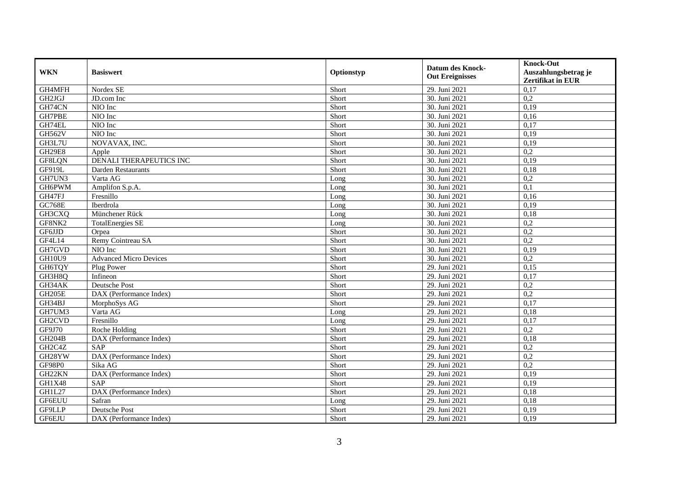| <b>WKN</b>          | <b>Basiswert</b>              | Optionstyp | <b>Datum des Knock-</b><br><b>Out Ereignisses</b> | <b>Knock-Out</b><br>Auszahlungsbetrag je<br>Zertifikat in EUR |
|---------------------|-------------------------------|------------|---------------------------------------------------|---------------------------------------------------------------|
| GH4MFH              | Nordex SE                     | Short      | 29. Juni 2021                                     | 0,17                                                          |
| GH2JGJ              | JD.com Inc                    | Short      | 30. Juni 2021                                     | 0,2                                                           |
| GH74CN              | NIO Inc                       | Short      | 30. Juni 2021                                     | 0,19                                                          |
| GH7PBE              | NIO Inc                       | Short      | 30. Juni 2021                                     | 0,16                                                          |
| GH74EL              | NIO Inc                       | Short      | 30. Juni 2021                                     | 0,17                                                          |
| GH562V              | NIO Inc                       | Short      | 30. Juni 2021                                     | 0,19                                                          |
| GH3L7U              | NOVAVAX, INC.                 | Short      | 30. Juni 2021                                     | 0,19                                                          |
| <b>GH29E8</b>       | Apple                         | Short      | 30. Juni 2021                                     | 0,2                                                           |
| GF8LQN              | DENALI THERAPEUTICS INC       | Short      | 30. Juni 2021                                     | 0,19                                                          |
| GF919L              | Darden Restaurants            | Short      | 30. Juni 2021                                     | 0,18                                                          |
| GH7UN3              | Varta AG                      | Long       | 30. Juni 2021                                     | 0,2                                                           |
| GH6PWM              | Amplifon S.p.A.               | Long       | 30. Juni 2021                                     | 0,1                                                           |
| GH47FJ              | Fresnillo                     | Long       | 30. Juni 2021                                     | 0,16                                                          |
| <b>GC768E</b>       | Iberdrola                     | Long       | 30. Juni 2021                                     | 0.19                                                          |
| GH3CXQ              | Münchener Rück                | Long       | 30. Juni 2021                                     | 0,18                                                          |
| GF8NK2              | <b>TotalEnergies SE</b>       | Long       | 30. Juni 2021                                     | 0,2                                                           |
| GF6JJD              | Orpea                         | Short      | 30. Juni 2021                                     | 0,2                                                           |
| GF4L14              | Remy Cointreau SA             | Short      | 30. Juni 2021                                     | 0,2                                                           |
| GH7GVD              | NIO Inc                       | Short      | 30. Juni 2021                                     | 0,19                                                          |
| <b>GH10U9</b>       | <b>Advanced Micro Devices</b> | Short      | 30. Juni 2021                                     | 0,2                                                           |
| GH6TQY              | Plug Power                    | Short      | 29. Juni 2021                                     | 0,15                                                          |
| GH3H8Q              | Infineon                      | Short      | 29. Juni 2021                                     | 0,17                                                          |
| GH34AK              | Deutsche Post                 | Short      | 29. Juni 2021                                     | 0,2                                                           |
| GH205E              | DAX (Performance Index)       | Short      | 29. Juni 2021                                     | 0,2                                                           |
| GH34BJ              | MorphoSys AG                  | Short      | 29. Juni 2021                                     | 0,17                                                          |
| GH7UM3              | Varta AG                      | Long       | 29. Juni 2021                                     | 0,18                                                          |
| GH <sub>2</sub> CVD | Fresnillo                     | Long       | 29. Juni 2021                                     | 0,17                                                          |
| GF9J70              | Roche Holding                 | Short      | 29. Juni 2021                                     | 0,2                                                           |
| <b>GH204B</b>       | DAX (Performance Index)       | Short      | 29. Juni 2021                                     | 0,18                                                          |
| GH2C4Z              | SAP                           | Short      | 29. Juni 2021                                     | 0,2                                                           |
| GH28YW              | DAX (Performance Index)       | Short      | 29. Juni 2021                                     | 0,2                                                           |
| <b>GF98P0</b>       | Sika AG                       | Short      | 29. Juni 2021                                     | $\overline{0.2}$                                              |
| GH <sub>22</sub> KN | DAX (Performance Index)       | Short      | 29. Juni 2021                                     | 0,19                                                          |
| GH1X48              | SAP                           | Short      | 29. Juni 2021                                     | 0,19                                                          |
| GH1L27              | DAX (Performance Index)       | Short      | 29. Juni 2021                                     | 0,18                                                          |
| <b>GF6EUU</b>       | Safran                        | Long       | 29. Juni 2021                                     | 0,18                                                          |
| GF9LLP              | Deutsche Post                 | Short      | 29. Juni 2021                                     | 0,19                                                          |
| GF6EJU              | DAX (Performance Index)       | Short      | 29. Juni 2021                                     | 0,19                                                          |